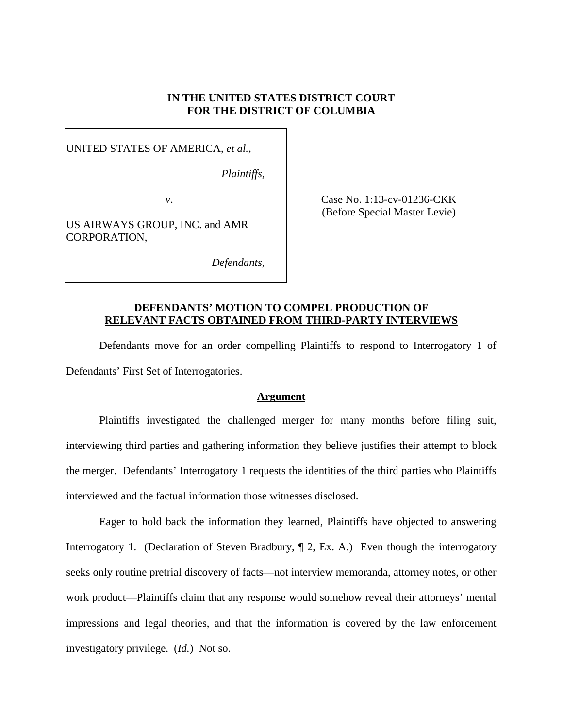# **IN THE UNITED STATES DISTRICT COURT FOR THE DISTRICT OF COLUMBIA**

UNITED STATES OF AMERICA, *et al.*,

*Plaintiffs*,

US AIRWAYS GROUP, INC. and AMR CORPORATION,

*v*. **Case No. 1:13-cv-01236-CKK** (Before Special Master Levie)

*Defendants*,

# **DEFENDANTS' MOTION TO COMPEL PRODUCTION OF RELEVANT FACTS OBTAINED FROM THIRD-PARTY INTERVIEWS**

Defendants move for an order compelling Plaintiffs to respond to Interrogatory 1 of Defendants' First Set of Interrogatories.

## **Argument**

Plaintiffs investigated the challenged merger for many months before filing suit, interviewing third parties and gathering information they believe justifies their attempt to block the merger. Defendants' Interrogatory 1 requests the identities of the third parties who Plaintiffs interviewed and the factual information those witnesses disclosed.

Eager to hold back the information they learned, Plaintiffs have objected to answering Interrogatory 1. (Declaration of Steven Bradbury,  $\P$  2, Ex. A.) Even though the interrogatory seeks only routine pretrial discovery of facts—not interview memoranda, attorney notes, or other work product—Plaintiffs claim that any response would somehow reveal their attorneys' mental impressions and legal theories, and that the information is covered by the law enforcement investigatory privilege. (*Id.*) Not so.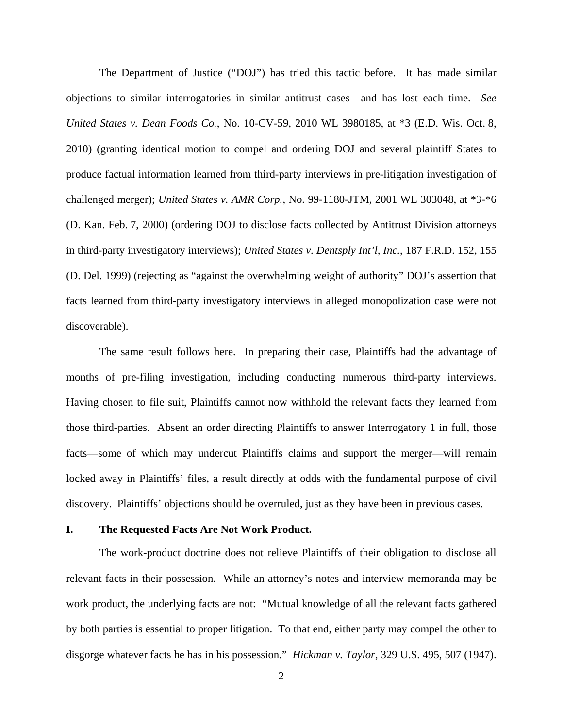The Department of Justice ("DOJ") has tried this tactic before. It has made similar objections to similar interrogatories in similar antitrust cases—and has lost each time. *See United States v. Dean Foods Co.*, No. 10-CV-59, 2010 WL 3980185, at \*3 (E.D. Wis. Oct. 8, 2010) (granting identical motion to compel and ordering DOJ and several plaintiff States to produce factual information learned from third-party interviews in pre-litigation investigation of challenged merger); *United States v. AMR Corp.*, No. 99-1180-JTM, 2001 WL 303048, at \*3-\*6 (D. Kan. Feb. 7, 2000) (ordering DOJ to disclose facts collected by Antitrust Division attorneys in third-party investigatory interviews); *United States v. Dentsply Int'l, Inc.*, 187 F.R.D. 152, 155 (D. Del. 1999) (rejecting as "against the overwhelming weight of authority" DOJ's assertion that facts learned from third-party investigatory interviews in alleged monopolization case were not discoverable).

The same result follows here. In preparing their case, Plaintiffs had the advantage of months of pre-filing investigation, including conducting numerous third-party interviews. Having chosen to file suit, Plaintiffs cannot now withhold the relevant facts they learned from those third-parties. Absent an order directing Plaintiffs to answer Interrogatory 1 in full, those facts—some of which may undercut Plaintiffs claims and support the merger—will remain locked away in Plaintiffs' files, a result directly at odds with the fundamental purpose of civil discovery. Plaintiffs' objections should be overruled, just as they have been in previous cases.

#### **I. The Requested Facts Are Not Work Product.**

The work-product doctrine does not relieve Plaintiffs of their obligation to disclose all relevant facts in their possession. While an attorney's notes and interview memoranda may be work product, the underlying facts are not: "Mutual knowledge of all the relevant facts gathered by both parties is essential to proper litigation. To that end, either party may compel the other to disgorge whatever facts he has in his possession." *Hickman v. Taylor*, 329 U.S. 495, 507 (1947).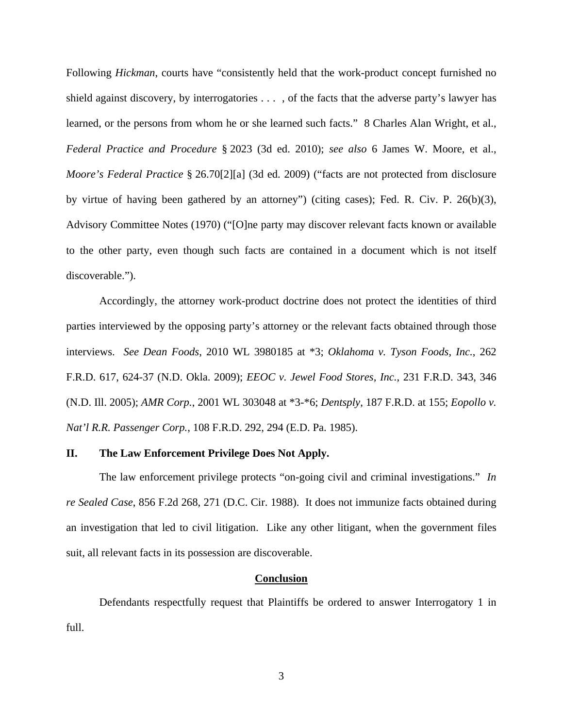Following *Hickman*, courts have "consistently held that the work-product concept furnished no shield against discovery, by interrogatories . . . , of the facts that the adverse party's lawyer has learned, or the persons from whom he or she learned such facts." 8 Charles Alan Wright, et al., *Federal Practice and Procedure* § 2023 (3d ed. 2010); *see also* 6 James W. Moore, et al., *Moore's Federal Practice* § 26.70[2][a] (3d ed. 2009) ("facts are not protected from disclosure by virtue of having been gathered by an attorney") (citing cases); Fed. R. Civ. P. 26(b)(3), Advisory Committee Notes (1970) ("[O]ne party may discover relevant facts known or available to the other party, even though such facts are contained in a document which is not itself discoverable.").

Accordingly, the attorney work-product doctrine does not protect the identities of third parties interviewed by the opposing party's attorney or the relevant facts obtained through those interviews. *See Dean Foods*, 2010 WL 3980185 at \*3; *Oklahoma v. Tyson Foods, Inc.*, 262 F.R.D. 617, 624-37 (N.D. Okla. 2009); *EEOC v. Jewel Food Stores, Inc.*, 231 F.R.D. 343, 346 (N.D. Ill. 2005); *AMR Corp.*, 2001 WL 303048 at \*3-\*6; *Dentsply*, 187 F.R.D. at 155; *Eopollo v. Nat'l R.R. Passenger Corp.*, 108 F.R.D. 292, 294 (E.D. Pa. 1985).

### **II. The Law Enforcement Privilege Does Not Apply.**

The law enforcement privilege protects "on-going civil and criminal investigations." *In re Sealed Case*, 856 F.2d 268, 271 (D.C. Cir. 1988). It does not immunize facts obtained during an investigation that led to civil litigation. Like any other litigant, when the government files suit, all relevant facts in its possession are discoverable.

### **Conclusion**

Defendants respectfully request that Plaintiffs be ordered to answer Interrogatory 1 in full.

3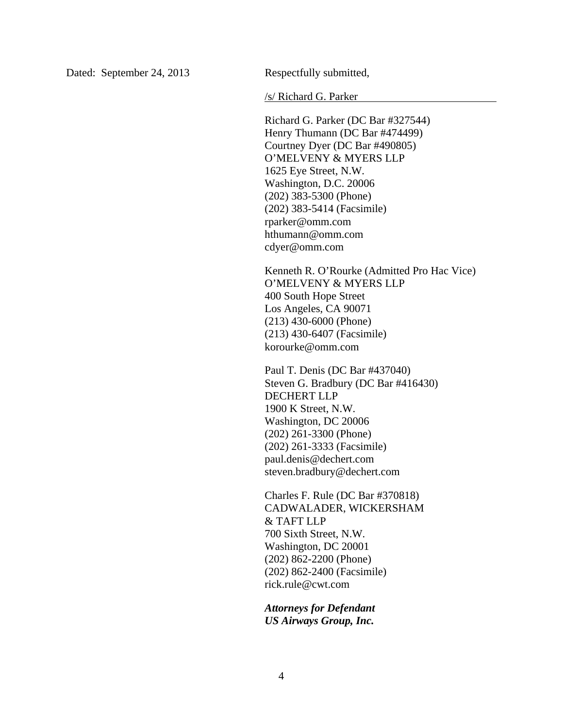Dated: September 24, 2013 Respectfully submitted,

/s/ Richard G. Parker

Richard G. Parker (DC Bar #327544) Henry Thumann (DC Bar #474499) Courtney Dyer (DC Bar #490805) O'MELVENY & MYERS LLP 1625 Eye Street, N.W. Washington, D.C. 20006 (202) 383-5300 (Phone) (202) 383-5414 (Facsimile) rparker@omm.com hthumann@omm.com cdyer@omm.com

Kenneth R. O'Rourke (Admitted Pro Hac Vice) O'MELVENY & MYERS LLP 400 South Hope Street Los Angeles, CA 90071 (213) 430-6000 (Phone) (213) 430-6407 (Facsimile) korourke@omm.com

Paul T. Denis (DC Bar #437040) Steven G. Bradbury (DC Bar #416430) DECHERT LLP 1900 K Street, N.W. Washington, DC 20006 (202) 261-3300 (Phone) (202) 261-3333 (Facsimile) paul.denis@dechert.com steven.bradbury@dechert.com

Charles F. Rule (DC Bar #370818) CADWALADER, WICKERSHAM & TAFT LLP 700 Sixth Street, N.W. Washington, DC 20001 (202) 862-2200 (Phone) (202) 862-2400 (Facsimile) rick.rule@cwt.com

*Attorneys for Defendant US Airways Group, Inc.*